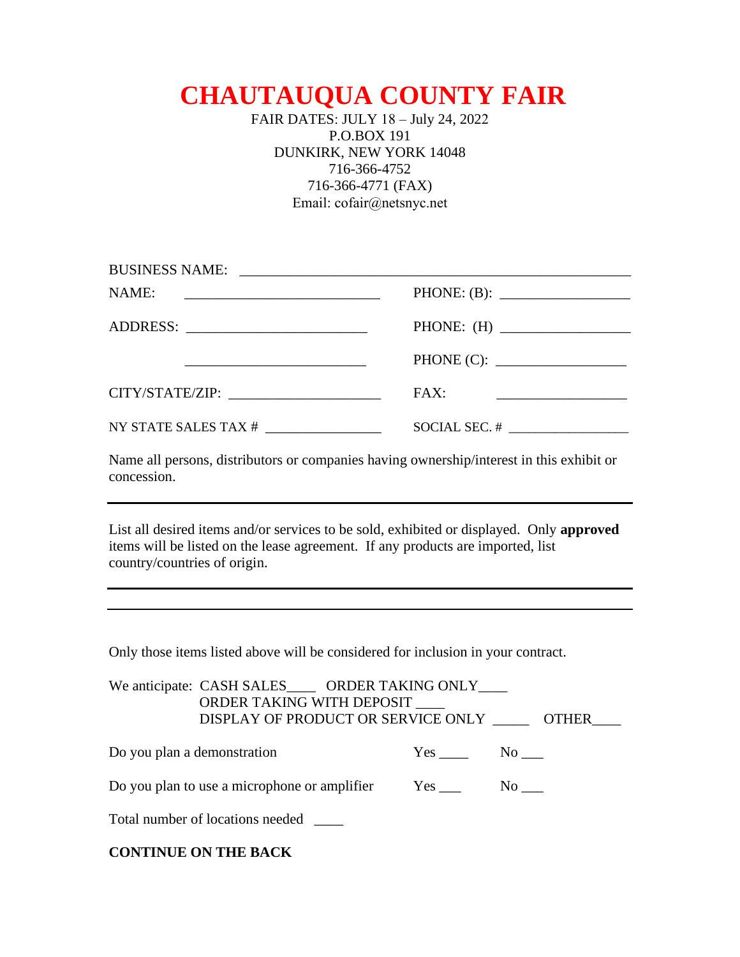## **CHAUTAUQUA COUNTY FAIR**

FAIR DATES: JULY 18 – July 24, 2022 P.O.BOX 191 DUNKIRK, NEW YORK 14048 716-366-4752 716-366-4771 (FAX) Email: cofair@netsnyc.net

| NAME:                                             |                                                                        |
|---------------------------------------------------|------------------------------------------------------------------------|
|                                                   | PHONE: $(H)$                                                           |
|                                                   |                                                                        |
| CITY/STATE/ZIP: University of the CITY/STATE/ZIP: | FAX:<br><u> 1989 - Johann Stein, mars an deutscher Stein (d. 1989)</u> |
| NY STATE SALES TAX # __________________           |                                                                        |

Name all persons, distributors or companies having ownership/interest in this exhibit or concession.

List all desired items and/or services to be sold, exhibited or displayed. Only **approved**  items will be listed on the lease agreement. If any products are imported, list country/countries of origin.

Only those items listed above will be considered for inclusion in your contract.

|                                                                                   | We anticipate: CASH SALES_____ ORDER TAKING ONLY____<br>ORDER TAKING WITH DEPOSIT<br>DISPLAY OF PRODUCT OR SERVICE ONLY OTHER |  |        |  |
|-----------------------------------------------------------------------------------|-------------------------------------------------------------------------------------------------------------------------------|--|--------|--|
| Do you plan a demonstration                                                       |                                                                                                                               |  | Yes No |  |
| Do you plan to use a microphone or amplifier Yes ________________________________ |                                                                                                                               |  |        |  |
|                                                                                   | Total number of locations needed                                                                                              |  |        |  |

| <b>CONTINUE ON THE BACK</b> |  |  |  |
|-----------------------------|--|--|--|
|-----------------------------|--|--|--|